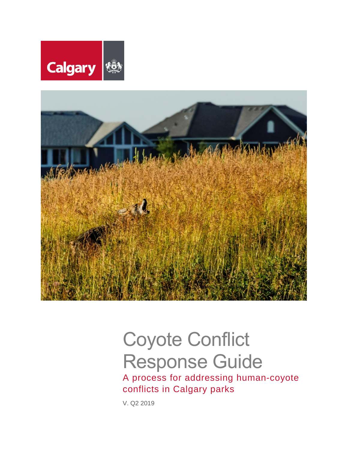



# Coyote Conflict Response Guide

A process for addressing human-coyote conflicts in Calgary parks

V. Q2 2019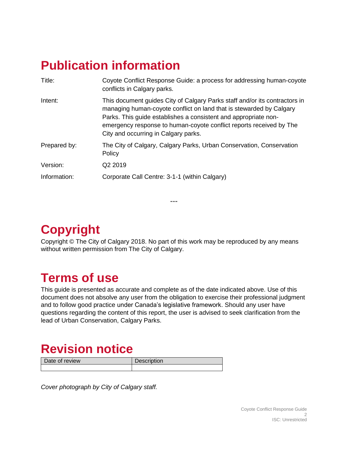# <span id="page-1-0"></span>**Publication information**

| Title:       | Coyote Conflict Response Guide: a process for addressing human-coyote<br>conflicts in Calgary parks.                                                                                                                                                                                                                                |
|--------------|-------------------------------------------------------------------------------------------------------------------------------------------------------------------------------------------------------------------------------------------------------------------------------------------------------------------------------------|
| Intent:      | This document guides City of Calgary Parks staff and/or its contractors in<br>managing human-coyote conflict on land that is stewarded by Calgary<br>Parks. This guide establishes a consistent and appropriate non-<br>emergency response to human-coyote conflict reports received by The<br>City and occurring in Calgary parks. |
| Prepared by: | The City of Calgary, Calgary Parks, Urban Conservation, Conservation<br>Policy                                                                                                                                                                                                                                                      |
| Version:     | Q <sub>2</sub> 2019                                                                                                                                                                                                                                                                                                                 |
| Information: | Corporate Call Centre: 3-1-1 (within Calgary)                                                                                                                                                                                                                                                                                       |

<span id="page-1-1"></span>**Copyright**

Copyright © The City of Calgary 2018. No part of this work may be reproduced by any means without written permission from The City of Calgary.

**---**

# <span id="page-1-2"></span>**Terms of use**

This guide is presented as accurate and complete as of the date indicated above. Use of this document does not absolve any user from the obligation to exercise their professional judgment and to follow good practice under Canada's legislative framework. Should any user have questions regarding the content of this report, the user is advised to seek clarification from the lead of Urban Conservation, Calgary Parks.

# <span id="page-1-3"></span>**Revision notice**

Date of review Description

*Cover photograph by City of Calgary staff.*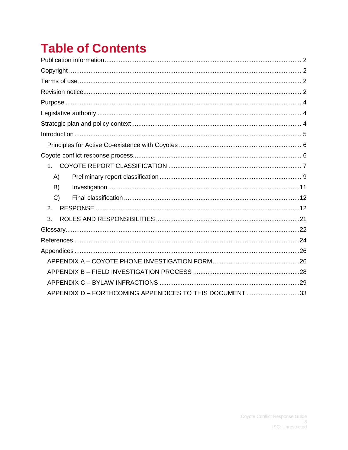# **Table of Contents**

| 1 <sup>1</sup>                                          |  |
|---------------------------------------------------------|--|
| A)                                                      |  |
| B)                                                      |  |
| C)                                                      |  |
| 2.                                                      |  |
| 3.                                                      |  |
|                                                         |  |
|                                                         |  |
|                                                         |  |
|                                                         |  |
|                                                         |  |
|                                                         |  |
| APPENDIX D - FORTHCOMING APPENDICES TO THIS DOCUMENT 33 |  |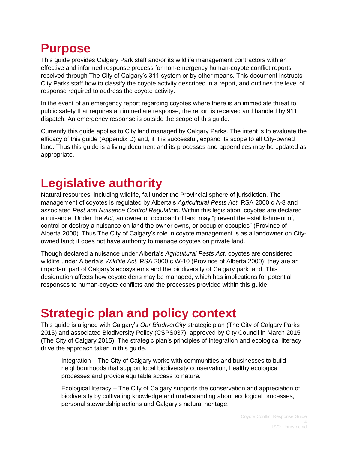# <span id="page-3-0"></span>**Purpose**

This guide provides Calgary Park staff and/or its wildlife management contractors with an effective and informed response process for non-emergency human-coyote conflict reports received through The City of Calgary's 311 system or by other means. This document instructs City Parks staff how to classify the coyote activity described in a report, and outlines the level of response required to address the coyote activity.

In the event of an emergency report regarding coyotes where there is an immediate threat to public safety that requires an immediate response, the report is received and handled by 911 dispatch. An emergency response is outside the scope of this guide.

Currently this guide applies to City land managed by Calgary Parks. The intent is to evaluate the efficacy of this guide (Appendix D) and, if it is successful, expand its scope to all City-owned land. Thus this guide is a living document and its processes and appendices may be updated as appropriate.

# <span id="page-3-1"></span>**Legislative authority**

Natural resources, including wildlife, fall under the Provincial sphere of jurisdiction. The management of coyotes is regulated by Alberta's *Agricultural Pests Act*, RSA 2000 c A-8 and associated *Pest and Nuisance Control Regulation*. Within this legislation, coyotes are declared a nuisance. Under the *Act*, an owner or occupant of land may "prevent the establishment of, control or destroy a nuisance on land the owner owns, or occupier occupies" (Province of Alberta 2000). Thus The City of Calgary's role in coyote management is as a landowner on Cityowned land; it does not have authority to manage coyotes on private land.

Though declared a nuisance under Alberta's *Agricultural Pests Act*, coyotes are considered wildlife under Alberta's *Wildlife Act*, RSA 2000 c W-10 (Province of Alberta 2000); they are an important part of Calgary's ecosystems and the biodiversity of Calgary park land. This designation affects how coyote dens may be managed, which has implications for potential responses to human-coyote conflicts and the processes provided within this guide.

### <span id="page-3-2"></span>**Strategic plan and policy context**

This guide is aligned with Calgary's *Our BiodiverCity* strategic plan (The City of Calgary Parks 2015) and associated Biodiversity Policy (CSPS037), approved by City Council in March 2015 (The City of Calgary 2015). The strategic plan's principles of integration and ecological literacy drive the approach taken in this guide.

Integration – The City of Calgary works with communities and businesses to build neighbourhoods that support local biodiversity conservation, healthy ecological processes and provide equitable access to nature.

Ecological literacy – The City of Calgary supports the conservation and appreciation of biodiversity by cultivating knowledge and understanding about ecological processes, personal stewardship actions and Calgary's natural heritage.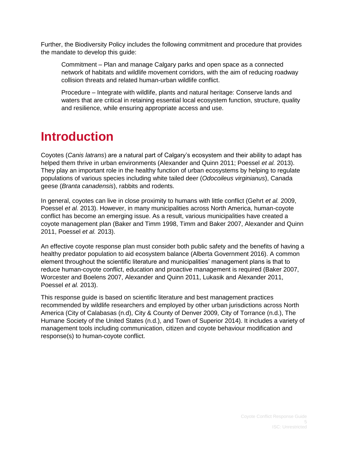Further, the Biodiversity Policy includes the following commitment and procedure that provides the mandate to develop this guide:

Commitment – Plan and manage Calgary parks and open space as a connected network of habitats and wildlife movement corridors, with the aim of reducing roadway collision threats and related human-urban wildlife conflict.

Procedure – Integrate with wildlife, plants and natural heritage: Conserve lands and waters that are critical in retaining essential local ecosystem function, structure, quality and resilience, while ensuring appropriate access and use.

### <span id="page-4-0"></span>**Introduction**

Coyotes (*Canis latrans*) are a natural part of Calgary's ecosystem and their ability to adapt has helped them thrive in urban environments (Alexander and Quinn 2011; Poessel *et al.* 2013). They play an important role in the healthy function of urban ecosystems by helping to regulate populations of various species including white tailed deer (*Odocoileus virginianus*), Canada geese (*Branta canadensis*), rabbits and rodents.

In general, coyotes can live in close proximity to humans with little conflict (Gehrt *et al.* 2009, Poessel *et al.* 2013). However, in many municipalities across North America, human-coyote conflict has become an emerging issue. As a result, various municipalities have created a coyote management plan (Baker and Timm 1998, Timm and Baker 2007, Alexander and Quinn 2011, Poessel *et al.* 2013).

An effective coyote response plan must consider both public safety and the benefits of having a healthy predator population to aid ecosystem balance (Alberta Government 2016). A common element throughout the scientific literature and municipalities' management plans is that to reduce human-coyote conflict, education and proactive management is required (Baker 2007, Worcester and Boelens 2007, Alexander and Quinn 2011, Lukasik and Alexander 2011, Poessel *et al.* 2013).

This response guide is based on scientific literature and best management practices recommended by wildlife researchers and employed by other urban jurisdictions across North America (City of Calabasas (n.d), City & County of Denver 2009, City of Torrance (n.d.), The Humane Society of the United States (n.d.), and Town of Superior 2014). It includes a variety of management tools including communication, citizen and coyote behaviour modification and response(s) to human-coyote conflict.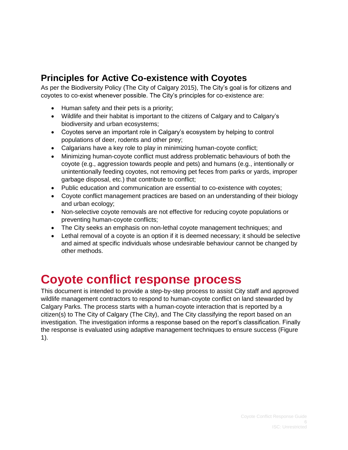### <span id="page-5-0"></span>**Principles for Active Co-existence with Coyotes**

As per the Biodiversity Policy (The City of Calgary 2015), The City's goal is for citizens and coyotes to co-exist whenever possible. The City's principles for co-existence are:

- Human safety and their pets is a priority;
- Wildlife and their habitat is important to the citizens of Calgary and to Calgary's biodiversity and urban ecosystems;
- Coyotes serve an important role in Calgary's ecosystem by helping to control populations of deer, rodents and other prey;
- Calgarians have a key role to play in minimizing human-coyote conflict;
- Minimizing human-coyote conflict must address problematic behaviours of both the coyote (e.g., aggression towards people and pets) and humans (e.g., intentionally or unintentionally feeding coyotes, not removing pet feces from parks or yards, improper garbage disposal, etc.) that contribute to conflict;
- Public education and communication are essential to co-existence with coyotes;
- Coyote conflict management practices are based on an understanding of their biology and urban ecology;
- Non-selective coyote removals are not effective for reducing coyote populations or preventing human-coyote conflicts;
- The City seeks an emphasis on non-lethal coyote management techniques; and
- Lethal removal of a coyote is an option if it is deemed necessary; it should be selective and aimed at specific individuals whose undesirable behaviour cannot be changed by other methods.

### <span id="page-5-1"></span>**Coyote conflict response process**

This document is intended to provide a step-by-step process to assist City staff and approved wildlife management contractors to respond to human-coyote conflict on land stewarded by Calgary Parks. The process starts with a human-coyote interaction that is reported by a citizen(s) to The City of Calgary (The City), and The City classifying the report based on an investigation. The investigation informs a response based on the report's classification. Finally the response is evaluated using adaptive management techniques to ensure success (Figure 1).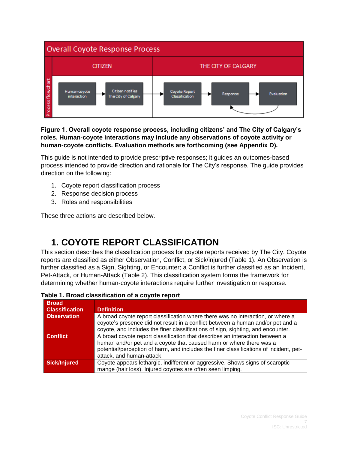

**Figure 1. Overall coyote response process, including citizens' and The City of Calgary's roles. Human-coyote interactions may include any observations of coyote activity or human-coyote conflicts. Evaluation methods are forthcoming (see Appendix D).**

This guide is not intended to provide prescriptive responses; it guides an outcomes-based process intended to provide direction and rationale for The City's response. The guide provides direction on the following:

- 1. Coyote report classification process
- 2. Response decision process
- 3. Roles and responsibilities

These three actions are described below.

### <span id="page-6-0"></span>**1. COYOTE REPORT CLASSIFICATION**

This section describes the classification process for coyote reports received by The City. Coyote reports are classified as either Observation, Conflict, or Sick/injured (Table 1). An Observation is further classified as a Sign, Sighting, or Encounter; a Conflict is further classified as an Incident, Pet-Attack, or Human-Attack (Table 2). This classification system forms the framework for determining whether human-coyote interactions require further investigation or response.

| <b>Broad</b><br><b>Classification</b> | <b>Definition</b>                                                                                                                                                                                                                                                          |
|---------------------------------------|----------------------------------------------------------------------------------------------------------------------------------------------------------------------------------------------------------------------------------------------------------------------------|
| <b>Observation</b>                    | A broad coyote report classification where there was no interaction, or where a<br>coyote's presence did not result in a conflict between a human and/or pet and a<br>coyote, and includes the finer classifications of sign, sighting, and encounter.                     |
| <b>Conflict</b>                       | A broad coyote report classification that describes an interaction between a<br>human and/or pet and a coyote that caused harm or where there was a<br>potential/perception of harm, and includes the finer classifications of incident, pet-<br>attack, and human-attack. |
| <b>Sick/Injured</b>                   | Coyote appears lethargic, indifferent or aggressive. Shows signs of scaroptic<br>mange (hair loss). Injured coyotes are often seen limping.                                                                                                                                |

|  |  |  | Table 1. Broad classification of a coyote report |  |  |  |  |
|--|--|--|--------------------------------------------------|--|--|--|--|
|--|--|--|--------------------------------------------------|--|--|--|--|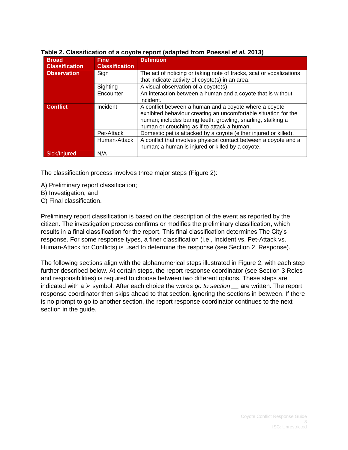| <b>Broad</b><br><b>Classification</b> | <b>Fine</b><br><b>Classification</b> | <b>Definition</b>                                                   |
|---------------------------------------|--------------------------------------|---------------------------------------------------------------------|
| <b>Observation</b>                    | Sign                                 | The act of noticing or taking note of tracks, scat or vocalizations |
|                                       |                                      | that indicate activity of coyote(s) in an area.                     |
|                                       | Sighting                             | A visual observation of a coyote(s).                                |
|                                       | Encounter                            | An interaction between a human and a coyote that is without         |
|                                       |                                      | incident.                                                           |
| <b>Conflict</b>                       | Incident                             | A conflict between a human and a coyote where a coyote              |
|                                       |                                      | exhibited behaviour creating an uncomfortable situation for the     |
|                                       |                                      | human; includes baring teeth, growling, snarling, stalking a        |
|                                       |                                      | human or crouching as if to attack a human.                         |
|                                       | Pet-Attack                           | Domestic pet is attacked by a coyote (either injured or killed).    |
|                                       | Human-Attack                         | A conflict that involves physical contact between a covote and a    |
|                                       |                                      | human; a human is injured or killed by a coyote.                    |
| Sick/Injured                          | N/A                                  |                                                                     |

### **Table 2. Classification of a coyote report (adapted from Poessel** *et al.* **2013)**

The classification process involves three major steps (Figure 2):

- A) Preliminary report classification;
- B) Investigation; and
- C) Final classification.

Preliminary report classification is based on the description of the event as reported by the citizen. The investigation process confirms or modifies the preliminary classification, which results in a final classification for the report. This final classification determines The City's response. For some response types, a finer classification (i.e., Incident vs. Pet-Attack vs. Human-Attack for Conflicts) is used to determine the response (see Section 2. Response).

The following sections align with the alphanumerical steps illustrated in Figure 2, with each step further described below. At certain steps, the report response coordinator (see Section 3 Roles and responsibilities) is required to choose between two different options. These steps are indicated with a  $\triangleright$  symbol. After each choice the words *go to section* are written. The report response coordinator then skips ahead to that section, ignoring the sections in between. If there is no prompt to go to another section, the report response coordinator continues to the next section in the guide.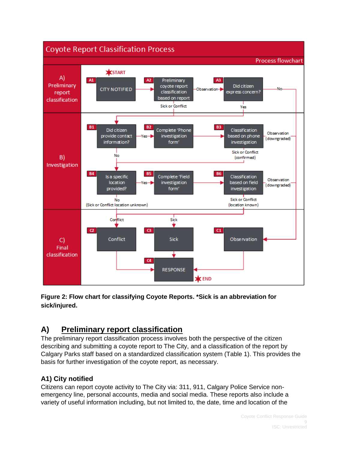

**Figure 2: Flow chart for classifying Coyote Reports. \*Sick is an abbreviation for sick/injured.** 

### <span id="page-8-0"></span>**A) Preliminary report classification**

The preliminary report classification process involves both the perspective of the citizen describing and submitting a coyote report to The City, and a classification of the report by Calgary Parks staff based on a standardized classification system (Table 1). This provides the basis for further investigation of the coyote report, as necessary.

### **A1) City notified**

Citizens can report coyote activity to The City via: 311, 911, Calgary Police Service nonemergency line, personal accounts, media and social media. These reports also include a variety of useful information including, but not limited to, the date, time and location of the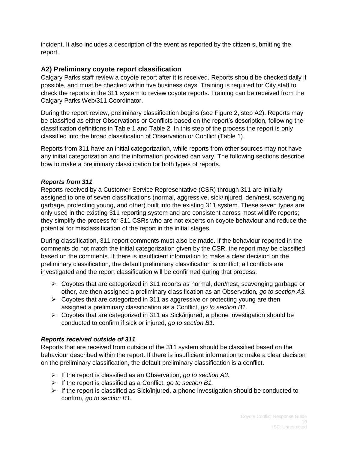incident. It also includes a description of the event as reported by the citizen submitting the report.

### **A2) Preliminary coyote report classification**

Calgary Parks staff review a coyote report after it is received. Reports should be checked daily if possible, and must be checked within five business days. Training is required for City staff to check the reports in the 311 system to review coyote reports. Training can be received from the Calgary Parks Web/311 Coordinator.

During the report review, preliminary classification begins (see Figure 2, step A2). Reports may be classified as either Observations or Conflicts based on the report's description, following the classification definitions in Table 1 and Table 2. In this step of the process the report is only classified into the broad classification of Observation or Conflict (Table 1).

Reports from 311 have an initial categorization, while reports from other sources may not have any initial categorization and the information provided can vary. The following sections describe how to make a preliminary classification for both types of reports.

### *Reports from 311*

Reports received by a Customer Service Representative (CSR) through 311 are initially assigned to one of seven classifications (normal, aggressive, sick/injured, den/nest, scavenging garbage, protecting young, and other) built into the existing 311 system. These seven types are only used in the existing 311 reporting system and are consistent across most wildlife reports; they simplify the process for 311 CSRs who are not experts on coyote behaviour and reduce the potential for misclassification of the report in the initial stages.

During classification, 311 report comments must also be made. If the behaviour reported in the comments do not match the initial categorization given by the CSR, the report may be classified based on the comments. If there is insufficient information to make a clear decision on the preliminary classification, the default preliminary classification is conflict; all conflicts are investigated and the report classification will be confirmed during that process.

- $\triangleright$  Coyotes that are categorized in 311 reports as normal, den/nest, scavenging garbage or other, are then assigned a preliminary classification as an Observation*, go to section A3.*
- $\triangleright$  Coyotes that are categorized in 311 as aggressive or protecting young are then assigned a preliminary classification as a Conflict, *go to section B1.*
- $\triangleright$  Coyotes that are categorized in 311 as Sick/injured, a phone investigation should be conducted to confirm if sick or injured, *go to section B1.*

### *Reports received outside of 311*

Reports that are received from outside of the 311 system should be classified based on the behaviour described within the report. If there is insufficient information to make a clear decision on the preliminary classification, the default preliminary classification is a conflict.

- If the report is classified as an Observation, *go to section A3.*
- If the report is classified as a Conflict, *go to section B1.*
- $\triangleright$  If the report is classified as Sick/injured, a phone investigation should be conducted to confirm, *go to section B1.*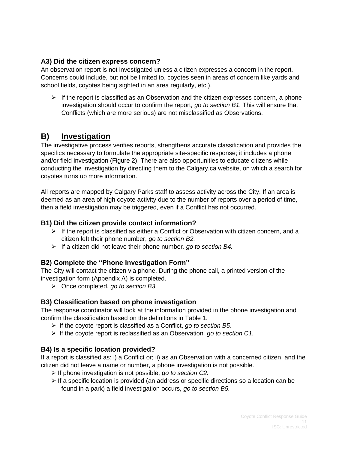### **A3) Did the citizen express concern?**

An observation report is not investigated unless a citizen expresses a concern in the report. Concerns could include, but not be limited to, coyotes seen in areas of concern like yards and school fields, coyotes being sighted in an area regularly, etc.).

 $\triangleright$  If the report is classified as an Observation and the citizen expresses concern, a phone investigation should occur to confirm the report*, go to section B1.* This will ensure that Conflicts (which are more serious) are not misclassified as Observations.

### <span id="page-10-0"></span>**B) Investigation**

The investigative process verifies reports, strengthens accurate classification and provides the specifics necessary to formulate the appropriate site-specific response; it includes a phone and/or field investigation (Figure 2). There are also opportunities to educate citizens while conducting the investigation by directing them to the Calgary.ca website, on which a search for coyotes turns up more information.

All reports are mapped by Calgary Parks staff to assess activity across the City. If an area is deemed as an area of high coyote activity due to the number of reports over a period of time, then a field investigation may be triggered, even if a Conflict has not occurred.

### **B1) Did the citizen provide contact information?**

- $\triangleright$  If the report is classified as either a Conflict or Observation with citizen concern, and a citizen left their phone number, *go to section B2.*
- If a citizen did not leave their phone number*, go to section B4.*

### **B2) Complete the "Phone Investigation Form"**

The City will contact the citizen via phone. During the phone call, a printed version of the investigation form (Appendix A) is completed.

Once completed, *go to section B3.*

### **B3) Classification based on phone investigation**

The response coordinator will look at the information provided in the phone investigation and confirm the classification based on the definitions in Table 1.

- If the coyote report is classified as a Conflict, *go to section B5*.
- If the coyote report is reclassified as an Observation*, go to section C1.*

### **B4) Is a specific location provided?**

If a report is classified as: i) a Conflict or; ii) as an Observation with a concerned citizen, and the citizen did not leave a name or number, a phone investigation is not possible.

- If phone investigation is not possible, *go to section C2.*
- $\triangleright$  If a specific location is provided (an address or specific directions so a location can be found in a park) a field investigation occurs, *go to section B5.*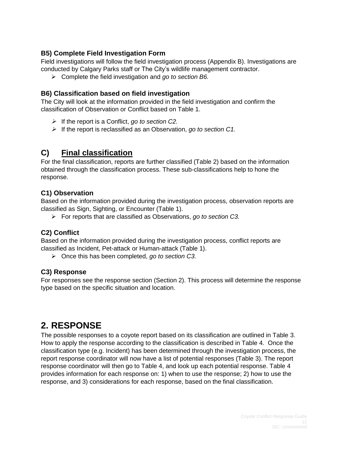### **B5) Complete Field Investigation Form**

Field investigations will follow the field investigation process (Appendix B). Investigations are conducted by Calgary Parks staff or The City's wildlife management contractor.

Complete the field investigation and *go to section B6.*

### **B6) Classification based on field investigation**

The City will look at the information provided in the field investigation and confirm the classification of Observation or Conflict based on Table 1.

- If the report is a Conflict, *go to section C2.*
- $\triangleright$  If the report is reclassified as an Observation, *go to section C1.*

### <span id="page-11-0"></span>**C) Final classification**

For the final classification, reports are further classified (Table 2) based on the information obtained through the classification process. These sub-classifications help to hone the response.

### **C1) Observation**

Based on the information provided during the investigation process, observation reports are classified as Sign, Sighting, or Encounter (Table 1).

For reports that are classified as Observations, *go to section C3.*

### **C2) Conflict**

Based on the information provided during the investigation process, conflict reports are classified as Incident, Pet-attack or Human-attack (Table 1).

Once this has been completed, *go to section C3.*

### **C3) Response**

For responses see the response section (Section 2). This process will determine the response type based on the specific situation and location.

### <span id="page-11-1"></span>**2. RESPONSE**

The possible responses to a coyote report based on its classification are outlined in Table 3. How to apply the response according to the classification is described in Table 4. Once the classification type (e.g. Incident) has been determined through the investigation process, the report response coordinator will now have a list of potential responses (Table 3). The report response coordinator will then go to Table 4, and look up each potential response. Table 4 provides information for each response on: 1) when to use the response; 2) how to use the response, and 3) considerations for each response, based on the final classification.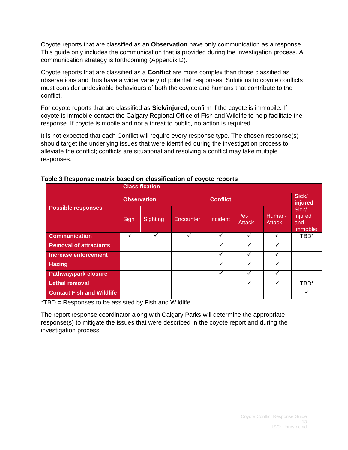Coyote reports that are classified as an **Observation** have only communication as a response. This guide only includes the communication that is provided during the investigation process. A communication strategy is forthcoming (Appendix D).

Coyote reports that are classified as a **Conflict** are more complex than those classified as observations and thus have a wider variety of potential responses. Solutions to coyote conflicts must consider undesirable behaviours of both the coyote and humans that contribute to the conflict.

For coyote reports that are classified as **Sick/injured**, confirm if the coyote is immobile. If coyote is immobile contact the Calgary Regional Office of Fish and Wildlife to help facilitate the response. If coyote is mobile and not a threat to public, no action is required.

It is not expected that each Conflict will require every response type. The chosen response(s) should target the underlying issues that were identified during the investigation process to alleviate the conflict; conflicts are situational and resolving a conflict may take multiple responses.

|                                  |                    | <b>Classification</b> |              |                 |                       |                         |                                     |  |  |
|----------------------------------|--------------------|-----------------------|--------------|-----------------|-----------------------|-------------------------|-------------------------------------|--|--|
|                                  | <b>Observation</b> |                       |              | <b>Conflict</b> |                       |                         | <b>Sick/</b><br>injured             |  |  |
| <b>Possible responses</b>        | Sign               | Sighting              | Encounter    | Incident        | Pet-<br><b>Attack</b> | Human-<br><b>Attack</b> | Sick/<br>injured<br>and<br>immoblie |  |  |
| <b>Communication</b>             | ✓                  | ✓                     | $\checkmark$ | ✓               | ✓                     | ✓                       | TBD*                                |  |  |
| <b>Removal of attractants</b>    |                    |                       |              |                 |                       | ✓                       |                                     |  |  |
| <b>Increase enforcement</b>      |                    |                       |              | ✓               |                       | ✓                       |                                     |  |  |
| <b>Hazing</b>                    |                    |                       |              |                 |                       |                         |                                     |  |  |
| <b>Pathway/park closure</b>      |                    |                       |              | ✓               |                       | ✓                       |                                     |  |  |
| <b>Lethal removal</b>            |                    |                       |              |                 |                       | ✓                       | TBD*                                |  |  |
| <b>Contact Fish and Wildlife</b> |                    |                       |              |                 |                       |                         | v                                   |  |  |

**Table 3 Response matrix based on classification of coyote reports**

\*TBD = Responses to be assisted by Fish and Wildlife.

The report response coordinator along with Calgary Parks will determine the appropriate response(s) to mitigate the issues that were described in the coyote report and during the investigation process.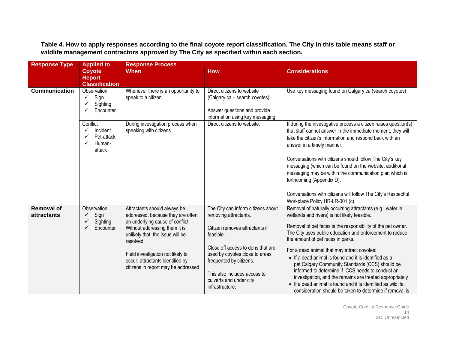| <b>Response Type</b>                    | <b>Applied to</b>                                                     | <b>Response Process</b>                                                                                                                                                                                                                                                                                 |                                                                                                                                                                                                                                                                                            |                                                                                                                                                                                                                                                                                                                                                                                                                                                                                                                                                                                                                                                                                      |  |  |  |
|-----------------------------------------|-----------------------------------------------------------------------|---------------------------------------------------------------------------------------------------------------------------------------------------------------------------------------------------------------------------------------------------------------------------------------------------------|--------------------------------------------------------------------------------------------------------------------------------------------------------------------------------------------------------------------------------------------------------------------------------------------|--------------------------------------------------------------------------------------------------------------------------------------------------------------------------------------------------------------------------------------------------------------------------------------------------------------------------------------------------------------------------------------------------------------------------------------------------------------------------------------------------------------------------------------------------------------------------------------------------------------------------------------------------------------------------------------|--|--|--|
|                                         | Coyote<br><b>Report</b><br><b>Classification</b>                      | <b>When</b>                                                                                                                                                                                                                                                                                             | <b>How</b>                                                                                                                                                                                                                                                                                 | <b>Considerations</b>                                                                                                                                                                                                                                                                                                                                                                                                                                                                                                                                                                                                                                                                |  |  |  |
| <b>Communication</b>                    | Observation<br>Sign<br>$\checkmark$<br>Sighting<br>Encounter          | Whenever there is an opportunity to<br>speak to a citizen.                                                                                                                                                                                                                                              | Direct citizens to website<br>(Calgary.ca – search coyotes).<br>Answer questions and provide<br>information using key messaging.                                                                                                                                                           | Use key messaging found on Calgary.ca (search coyotes)                                                                                                                                                                                                                                                                                                                                                                                                                                                                                                                                                                                                                               |  |  |  |
|                                         | Conflict<br>Incident<br>✓<br>Pet-attack<br>✓<br>Human-<br>✓<br>attack | During investigation process when<br>speaking with citizens.                                                                                                                                                                                                                                            | Direct citizens to website.                                                                                                                                                                                                                                                                | If during the investigative process a citizen raises question(s)<br>that staff cannot answer in the immediate moment, they will<br>take the citizen's information and respond back with an<br>answer in a timely manner.<br>Conversations with citizens should follow The City's key<br>messaging (which can be found on the website; additional<br>messaging may be within the communication plan which is<br>forthcoming (Appendix D).<br>Conversations with citizens will follow The City's Respectful<br>Workplace Policy HR-LR-001 (c).                                                                                                                                         |  |  |  |
| <b>Removal of</b><br><b>attractants</b> | Observation<br>Sign<br>✓<br>Sighting<br>✓<br>Encounter<br>✓           | Attractants should always be<br>addressed, because they are often<br>an underlying cause of conflict.<br>Without addressing them it is<br>unlikely that the issue will be<br>resolved.<br>Field investigation not likely to<br>occur; attractants identified by<br>citizens in report may be addressed. | The City can inform citizens about<br>removing attractants.<br>Citizen removes attractants if<br>feasible.<br>Close off access to dens that are<br>used by coyotes close to areas<br>frequented by citizens.<br>This also includes access to<br>culverts and under city<br>infrastructure. | Removal of naturally occurring attractants (e.g., water in<br>wetlands and rivers) is not likely feasible.<br>Removal of pet feces is the responsibility of the pet owner.<br>The City uses public education and enforcement to reduce<br>the amount of pet feces in parks.<br>For a dead animal that may attract coyotes:<br>• If a dead animal is found and it is identified as a<br>pet, Calgary Community Standards (CCS) should be<br>informed to determine if CCS needs to conduct an<br>investigation, and the remains are treated appropriately<br>• If a dead animal is found and it is identified as wildlife.<br>consideration should be taken to determine if removal is |  |  |  |

**Table 4. How to apply responses according to the final coyote report classification. The City in this table means staff or wildlife management contractors approved by The City as specified within each section.**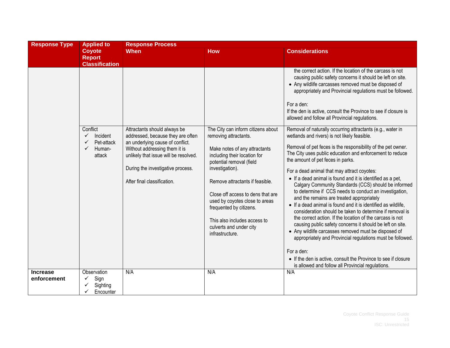| <b>Response Type</b> | <b>Applied to</b>                                                                           | <b>Response Process</b>                                                                                                                                                                                                                             |                                                                                                                                                                                                                                                                                                                                                                                                |                                                                                                                                                                                                                                                                                                                                                                                                                                                                                                                                                                                                                                                                                                                                                                                                                                                                                                                                                                                                                                                                                                                                                                                                                                                                                                                         |  |
|----------------------|---------------------------------------------------------------------------------------------|-----------------------------------------------------------------------------------------------------------------------------------------------------------------------------------------------------------------------------------------------------|------------------------------------------------------------------------------------------------------------------------------------------------------------------------------------------------------------------------------------------------------------------------------------------------------------------------------------------------------------------------------------------------|-------------------------------------------------------------------------------------------------------------------------------------------------------------------------------------------------------------------------------------------------------------------------------------------------------------------------------------------------------------------------------------------------------------------------------------------------------------------------------------------------------------------------------------------------------------------------------------------------------------------------------------------------------------------------------------------------------------------------------------------------------------------------------------------------------------------------------------------------------------------------------------------------------------------------------------------------------------------------------------------------------------------------------------------------------------------------------------------------------------------------------------------------------------------------------------------------------------------------------------------------------------------------------------------------------------------------|--|
|                      | <b>Coyote</b><br><b>Report</b>                                                              | <b>When</b>                                                                                                                                                                                                                                         | <b>How</b>                                                                                                                                                                                                                                                                                                                                                                                     | <b>Considerations</b>                                                                                                                                                                                                                                                                                                                                                                                                                                                                                                                                                                                                                                                                                                                                                                                                                                                                                                                                                                                                                                                                                                                                                                                                                                                                                                   |  |
|                      | <b>Classification</b>                                                                       |                                                                                                                                                                                                                                                     |                                                                                                                                                                                                                                                                                                                                                                                                |                                                                                                                                                                                                                                                                                                                                                                                                                                                                                                                                                                                                                                                                                                                                                                                                                                                                                                                                                                                                                                                                                                                                                                                                                                                                                                                         |  |
|                      | Conflict<br>$\checkmark$<br>Incident<br>$\checkmark$<br>Pet-attack<br>✓<br>Human-<br>attack | Attractants should always be<br>addressed, because they are often<br>an underlying cause of conflict.<br>Without addressing them it is<br>unlikely that issue will be resolved.<br>During the investigative process.<br>After final classification. | The City can inform citizens about<br>removing attractants.<br>Make notes of any attractants<br>including their location for<br>potential removal (field<br>investigation).<br>Remove attractants if feasible.<br>Close off access to dens that are<br>used by coyotes close to areas<br>frequented by citizens.<br>This also includes access to<br>culverts and under city<br>infrastructure. | the correct action. If the location of the carcass is not<br>causing public safety concerns it should be left on site.<br>• Any wildlife carcasses removed must be disposed of<br>appropriately and Provincial regulations must be followed.<br>For a den:<br>If the den is active, consult the Province to see if closure is<br>allowed and follow all Provincial regulations.<br>Removal of naturally occurring attractants (e.g., water in<br>wetlands and rivers) is not likely feasible.<br>Removal of pet feces is the responsibility of the pet owner.<br>The City uses public education and enforcement to reduce<br>the amount of pet feces in parks.<br>For a dead animal that may attract coyotes:<br>• If a dead animal is found and it is identified as a pet,<br>Calgary Community Standards (CCS) should be informed<br>to determine if CCS needs to conduct an investigation,<br>and the remains are treated appropriately<br>• If a dead animal is found and it is identified as wildlife,<br>consideration should be taken to determine if removal is<br>the correct action. If the location of the carcass is not<br>causing public safety concerns it should be left on site.<br>• Any wildlife carcasses removed must be disposed of<br>appropriately and Provincial regulations must be followed. |  |
|                      |                                                                                             |                                                                                                                                                                                                                                                     |                                                                                                                                                                                                                                                                                                                                                                                                | For a den:<br>• If the den is active, consult the Province to see if closure                                                                                                                                                                                                                                                                                                                                                                                                                                                                                                                                                                                                                                                                                                                                                                                                                                                                                                                                                                                                                                                                                                                                                                                                                                            |  |
| <b>Increase</b>      | Observation                                                                                 | N/A                                                                                                                                                                                                                                                 | N/A                                                                                                                                                                                                                                                                                                                                                                                            | is allowed and follow all Provincial regulations.<br>N/A                                                                                                                                                                                                                                                                                                                                                                                                                                                                                                                                                                                                                                                                                                                                                                                                                                                                                                                                                                                                                                                                                                                                                                                                                                                                |  |
| enforcement          | Sign<br>Sighting<br>✓<br>✓<br>Encounter                                                     |                                                                                                                                                                                                                                                     |                                                                                                                                                                                                                                                                                                                                                                                                |                                                                                                                                                                                                                                                                                                                                                                                                                                                                                                                                                                                                                                                                                                                                                                                                                                                                                                                                                                                                                                                                                                                                                                                                                                                                                                                         |  |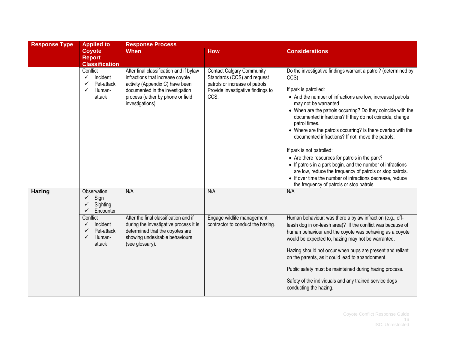| <b>Response Type</b> | <b>Applied to</b>                                                                                                                               | <b>Response Process</b>                                                                                                                                                                                    |                                                                                                                                                 |                                                                                                                                                                                                                                                                                                                                                                                                                                                                                                                                                                                                                                                                                                                                                                             |  |  |
|----------------------|-------------------------------------------------------------------------------------------------------------------------------------------------|------------------------------------------------------------------------------------------------------------------------------------------------------------------------------------------------------------|-------------------------------------------------------------------------------------------------------------------------------------------------|-----------------------------------------------------------------------------------------------------------------------------------------------------------------------------------------------------------------------------------------------------------------------------------------------------------------------------------------------------------------------------------------------------------------------------------------------------------------------------------------------------------------------------------------------------------------------------------------------------------------------------------------------------------------------------------------------------------------------------------------------------------------------------|--|--|
|                      | <b>Coyote</b><br><b>Report</b><br><b>Classification</b>                                                                                         | <b>When</b>                                                                                                                                                                                                | <b>How</b>                                                                                                                                      | <b>Considerations</b>                                                                                                                                                                                                                                                                                                                                                                                                                                                                                                                                                                                                                                                                                                                                                       |  |  |
|                      | Conflict<br>Incident<br>$\checkmark$<br>Pet-attack<br>✓<br>Human-<br>✓<br>attack                                                                | After final classification and if bylaw<br>infractions that increase coyote<br>activity (Appendix C) have been<br>documented in the investigation<br>process (either by phone or field<br>investigations). | <b>Contact Calgary Community</b><br>Standards (CCS) and request<br>patrols or increase of patrols.<br>Provide investigative findings to<br>CCS. | Do the investigative findings warrant a patrol? (determined by<br>CCS)<br>If park is patrolled:<br>• And the number of infractions are low, increased patrols<br>may not be warranted.<br>• When are the patrols occurring? Do they coincide with the<br>documented infractions? If they do not coincide, change<br>patrol times.<br>• Where are the patrols occurring? Is there overlap with the<br>documented infractions? If not, move the patrols.<br>If park is not patrolled:<br>• Are there resources for patrols in the park?<br>• If patrols in a park begin, and the number of infractions<br>are low, reduce the frequency of patrols or stop patrols.<br>• If over time the number of infractions decrease, reduce<br>the frequency of patrols or stop patrols. |  |  |
| Hazing               | Observation<br>Sign<br>✓<br>Sighting<br>✓<br>$\checkmark$<br>Encounter<br>Conflict<br>Incident<br>✓<br>Pet-attack<br>✓<br>Human-<br>✓<br>attack | N/A<br>After the final classification and if<br>during the investigative process it is<br>determined that the coyotes are<br>showing undesirable behaviours<br>(see glossary).                             | N/A<br>Engage wildlife management<br>contractor to conduct the hazing.                                                                          | N/A<br>Human behaviour: was there a bylaw infraction (e.g., off-<br>leash dog in on-leash area)? If the conflict was because of<br>human behaviour and the coyote was behaving as a coyote<br>would be expected to, hazing may not be warranted.<br>Hazing should not occur when pups are present and reliant<br>on the parents, as it could lead to abandonment.<br>Public safety must be maintained during hazing process.                                                                                                                                                                                                                                                                                                                                                |  |  |
|                      |                                                                                                                                                 |                                                                                                                                                                                                            |                                                                                                                                                 | Safety of the individuals and any trained service dogs<br>conducting the hazing.                                                                                                                                                                                                                                                                                                                                                                                                                                                                                                                                                                                                                                                                                            |  |  |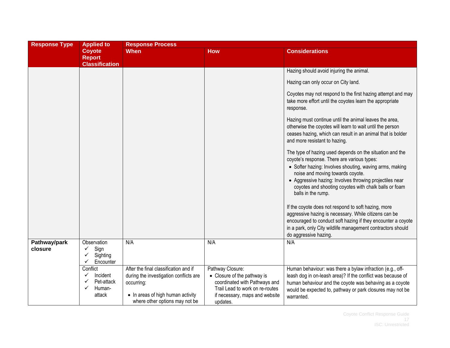| <b>Response Type</b>    | <b>Applied to</b>                                                           | <b>Response Process</b>                                                                                                                                              |                                                                                                                                                                   |                                                                                                                                                                                                                                                                                                                                                                                                         |  |  |
|-------------------------|-----------------------------------------------------------------------------|----------------------------------------------------------------------------------------------------------------------------------------------------------------------|-------------------------------------------------------------------------------------------------------------------------------------------------------------------|---------------------------------------------------------------------------------------------------------------------------------------------------------------------------------------------------------------------------------------------------------------------------------------------------------------------------------------------------------------------------------------------------------|--|--|
|                         | <b>Coyote</b><br><b>Report</b><br><b>Classification</b>                     | <b>When</b>                                                                                                                                                          | <b>How</b>                                                                                                                                                        | <b>Considerations</b>                                                                                                                                                                                                                                                                                                                                                                                   |  |  |
|                         |                                                                             |                                                                                                                                                                      |                                                                                                                                                                   | Hazing should avoid injuring the animal.                                                                                                                                                                                                                                                                                                                                                                |  |  |
|                         |                                                                             |                                                                                                                                                                      |                                                                                                                                                                   | Hazing can only occur on City land.                                                                                                                                                                                                                                                                                                                                                                     |  |  |
|                         |                                                                             |                                                                                                                                                                      |                                                                                                                                                                   | Coyotes may not respond to the first hazing attempt and may<br>take more effort until the coyotes learn the appropriate<br>response.                                                                                                                                                                                                                                                                    |  |  |
|                         |                                                                             |                                                                                                                                                                      |                                                                                                                                                                   | Hazing must continue until the animal leaves the area,<br>otherwise the coyotes will learn to wait until the person<br>ceases hazing, which can result in an animal that is bolder<br>and more resistant to hazing.                                                                                                                                                                                     |  |  |
|                         |                                                                             |                                                                                                                                                                      |                                                                                                                                                                   | The type of hazing used depends on the situation and the<br>coyote's response. There are various types:<br>• Softer hazing: Involves shouting, waving arms, making<br>noise and moving towards coyote.<br>• Aggressive hazing: Involves throwing projectiles near<br>coyotes and shooting coyotes with chalk balls or foam<br>balls in the rump.<br>If the coyote does not respond to soft hazing, more |  |  |
|                         |                                                                             |                                                                                                                                                                      |                                                                                                                                                                   | aggressive hazing is necessary. While citizens can be<br>encouraged to conduct soft hazing if they encounter a coyote<br>in a park, only City wildlife management contractors should<br>do aggressive hazing.                                                                                                                                                                                           |  |  |
| Pathway/park<br>closure | Observation<br>Sign<br>✓<br>Sighting<br>✓<br>$\checkmark$<br>Encounter      | N/A                                                                                                                                                                  | N/A                                                                                                                                                               | N/A                                                                                                                                                                                                                                                                                                                                                                                                     |  |  |
|                         | Conflict<br>Incident<br>$\checkmark$<br>Pet-attack<br>Human-<br>✓<br>attack | After the final classification and if<br>during the investigation conflicts are<br>occurring:<br>• In areas of high human activity<br>where other options may not be | Pathway Closure:<br>• Closure of the pathway is<br>coordinated with Pathways and<br>Trail Lead to work on re-routes<br>if necessary, maps and website<br>updates. | Human behaviour: was there a bylaw infraction (e.g., off-<br>leash dog in on-leash area)? If the conflict was because of<br>human behaviour and the coyote was behaving as a coyote<br>would be expected to, pathway or park closures may not be<br>warranted.                                                                                                                                          |  |  |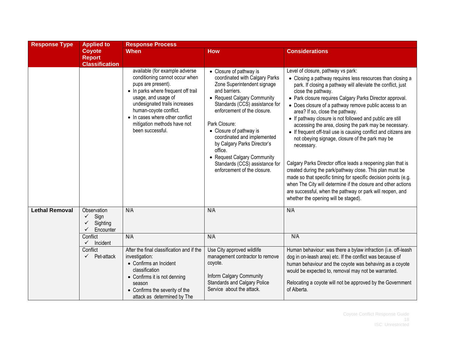| <b>Response Type</b>  | <b>Applied to</b>                                            | <b>Response Process</b>                                                                                                                                                                                                                                                                               |                                                                                                                                                                                                                                                                                                                                                                                                                                |                                                                                                                                                                                                                                                                                                                                                                                                                                                                                                                                                                                                                                                                                                                                                                                                                                                                                                                                                                                  |  |  |
|-----------------------|--------------------------------------------------------------|-------------------------------------------------------------------------------------------------------------------------------------------------------------------------------------------------------------------------------------------------------------------------------------------------------|--------------------------------------------------------------------------------------------------------------------------------------------------------------------------------------------------------------------------------------------------------------------------------------------------------------------------------------------------------------------------------------------------------------------------------|----------------------------------------------------------------------------------------------------------------------------------------------------------------------------------------------------------------------------------------------------------------------------------------------------------------------------------------------------------------------------------------------------------------------------------------------------------------------------------------------------------------------------------------------------------------------------------------------------------------------------------------------------------------------------------------------------------------------------------------------------------------------------------------------------------------------------------------------------------------------------------------------------------------------------------------------------------------------------------|--|--|
|                       | <b>Coyote</b><br><b>Report</b><br><b>Classification</b>      | <b>When</b>                                                                                                                                                                                                                                                                                           | <b>How</b>                                                                                                                                                                                                                                                                                                                                                                                                                     | <b>Considerations</b>                                                                                                                                                                                                                                                                                                                                                                                                                                                                                                                                                                                                                                                                                                                                                                                                                                                                                                                                                            |  |  |
|                       |                                                              | available (for example adverse<br>conditioning cannot occur when<br>pups are present).<br>• In parks where frequent off trail<br>usage, and usage of<br>undesignated trails increases<br>human-coyote conflict.<br>• In cases where other conflict<br>mitigation methods have not<br>been successful. | • Closure of pathway is<br>coordinated with Calgary Parks<br>Zone Superintendent signage<br>and barriers.<br>• Request Calgary Community<br>Standards (CCS) assistance for<br>enforcement of the closure.<br>Park Closure:<br>• Closure of pathway is<br>coordinated and implemented<br>by Calgary Parks Director's<br>office.<br>• Request Calgary Community<br>Standards (CCS) assistance for<br>enforcement of the closure. | Level of closure, pathway vs park:<br>• Closing a pathway requires less resources than closing a<br>park. If closing a pathway will alleviate the conflict, just<br>close the pathway.<br>• Park closure requires Calgary Parks Director approval.<br>• Does closure of a pathway remove public access to an<br>area? If so, close the pathway.<br>• If pathway closure is not followed and public are still<br>accessing the area, closing the park may be necessary.<br>• If frequent off-trail use is causing conflict and citizens are<br>not obeying signage, closure of the park may be<br>necessary.<br>Calgary Parks Director office leads a reopening plan that is<br>created during the park/pathway close. This plan must be<br>made so that specific timing for specific decision points (e.g.<br>when The City will determine if the closure and other actions<br>are successful, when the pathway or park will reopen, and<br>whether the opening will be staged). |  |  |
| <b>Lethal Removal</b> | Observation<br>Sign<br>$\checkmark$<br>Sighting<br>Encounter | N/A                                                                                                                                                                                                                                                                                                   | N/A                                                                                                                                                                                                                                                                                                                                                                                                                            | N/A                                                                                                                                                                                                                                                                                                                                                                                                                                                                                                                                                                                                                                                                                                                                                                                                                                                                                                                                                                              |  |  |
|                       | Conflict<br>$\checkmark$<br>Incident                         | N/A                                                                                                                                                                                                                                                                                                   | N/A                                                                                                                                                                                                                                                                                                                                                                                                                            | N/A                                                                                                                                                                                                                                                                                                                                                                                                                                                                                                                                                                                                                                                                                                                                                                                                                                                                                                                                                                              |  |  |
|                       | Conflict<br>Pet-attack<br>$\checkmark$                       | After the final classification and if the<br>investigation:<br>• Confirms an Incident<br>classification<br>• Confirms it is not denning<br>season<br>• Confirms the severity of the<br>attack as determined by The                                                                                    | Use City approved wildlife<br>management contractor to remove<br>coyote.<br>Inform Calgary Community<br><b>Standards and Calgary Police</b><br>Service about the attack.                                                                                                                                                                                                                                                       | Human behaviour: was there a bylaw infraction (i.e. off-leash<br>dog in on-leash area) etc. If the conflict was because of<br>human behaviour and the coyote was behaving as a coyote<br>would be expected to, removal may not be warranted.<br>Relocating a coyote will not be approved by the Government<br>of Alberta.                                                                                                                                                                                                                                                                                                                                                                                                                                                                                                                                                                                                                                                        |  |  |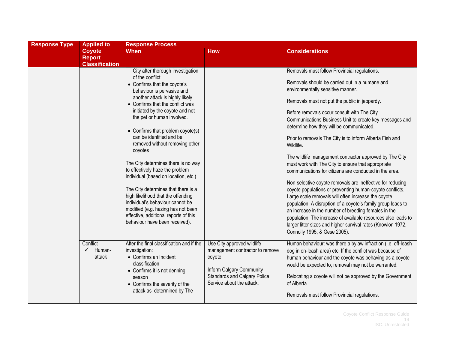| <b>Response Type</b> | <b>Applied to</b>                                | <b>Response Process</b>                                                                                                                                                                                                                                                                                                                                                                                                                                                                                                                                                                                                                                                                                                      |                                                                                                                                                                          |                                                                                                                                                                                                                                                                                                                                                                                                                                                                                                                                                                                                                                                                                                                                                                                                                                                                                                                                                                                                                                                                          |  |
|----------------------|--------------------------------------------------|------------------------------------------------------------------------------------------------------------------------------------------------------------------------------------------------------------------------------------------------------------------------------------------------------------------------------------------------------------------------------------------------------------------------------------------------------------------------------------------------------------------------------------------------------------------------------------------------------------------------------------------------------------------------------------------------------------------------------|--------------------------------------------------------------------------------------------------------------------------------------------------------------------------|--------------------------------------------------------------------------------------------------------------------------------------------------------------------------------------------------------------------------------------------------------------------------------------------------------------------------------------------------------------------------------------------------------------------------------------------------------------------------------------------------------------------------------------------------------------------------------------------------------------------------------------------------------------------------------------------------------------------------------------------------------------------------------------------------------------------------------------------------------------------------------------------------------------------------------------------------------------------------------------------------------------------------------------------------------------------------|--|
|                      | Coyote<br><b>Report</b><br><b>Classification</b> | <b>When</b>                                                                                                                                                                                                                                                                                                                                                                                                                                                                                                                                                                                                                                                                                                                  | <b>How</b>                                                                                                                                                               | <b>Considerations</b>                                                                                                                                                                                                                                                                                                                                                                                                                                                                                                                                                                                                                                                                                                                                                                                                                                                                                                                                                                                                                                                    |  |
|                      |                                                  | City after thorough investigation<br>of the conflict<br>• Confirms that the coyote's<br>behaviour is pervasive and<br>another attack is highly likely<br>• Confirms that the conflict was<br>initiated by the coyote and not<br>the pet or human involved.<br>• Confirms that problem coyote(s)<br>can be identified and be<br>removed without removing other<br>coyotes<br>The City determines there is no way<br>to effectively haze the problem<br>individual (based on location, etc.)<br>The City determines that there is a<br>high likelihood that the offending<br>individual's behaviour cannot be<br>modified (e.g. hazing has not been<br>effective, additional reports of this<br>behaviour have been received). |                                                                                                                                                                          | Removals must follow Provincial regulations.<br>Removals should be carried out in a humane and<br>environmentally sensitive manner.<br>Removals must not put the public in jeopardy.<br>Before removals occur consult with The City<br>Communications Business Unit to create key messages and<br>determine how they will be communicated.<br>Prior to removals The City is to inform Alberta Fish and<br>Wildlife.<br>The wildlife management contractor approved by The City<br>must work with The City to ensure that appropriate<br>communications for citizens are conducted in the area.<br>Non-selective coyote removals are ineffective for reducing<br>coyote populations or preventing human-coyote conflicts.<br>Large scale removals will often increase the coyote<br>population. A disruption of a coyote's family group leads to<br>an increase in the number of breeding females in the<br>population. The increase of available resources also leads to<br>larger litter sizes and higher survival rates (Knowlon 1972,<br>Connolly 1995, & Gese 2005). |  |
|                      | Conflict<br>Human-<br>$\checkmark$<br>attack     | After the final classification and if the<br>investigation:<br>• Confirms an Incident<br>classification<br>• Confirms it is not denning<br>season<br>• Confirms the severity of the<br>attack as determined by The                                                                                                                                                                                                                                                                                                                                                                                                                                                                                                           | Use City approved wildlife<br>management contractor to remove<br>coyote.<br>Inform Calgary Community<br><b>Standards and Calgary Police</b><br>Service about the attack. | Human behaviour: was there a bylaw infraction (i.e. off-leash<br>dog in on-leash area) etc. If the conflict was because of<br>human behaviour and the coyote was behaving as a coyote<br>would be expected to, removal may not be warranted.<br>Relocating a coyote will not be approved by the Government<br>of Alberta.<br>Removals must follow Provincial regulations.                                                                                                                                                                                                                                                                                                                                                                                                                                                                                                                                                                                                                                                                                                |  |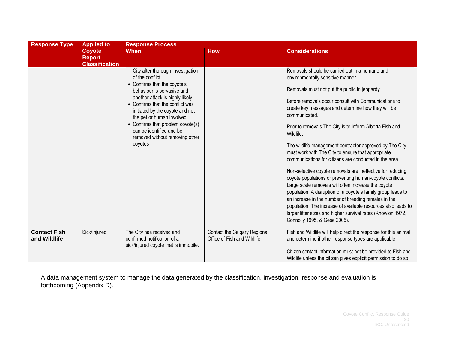| <b>Response Type</b>                | <b>Applied to</b><br><b>Coyote</b><br><b>Report</b><br><b>Classification</b> | <b>Response Process</b>                                                                                                                                                                                                                                                                                                                                                  |                                                              |                                                                                                                                                                                                                                                                                                                                                                                                                                                                                                                                                                                                                                                                                                                                                                                                                                                                                                                                                                                                   |  |  |
|-------------------------------------|------------------------------------------------------------------------------|--------------------------------------------------------------------------------------------------------------------------------------------------------------------------------------------------------------------------------------------------------------------------------------------------------------------------------------------------------------------------|--------------------------------------------------------------|---------------------------------------------------------------------------------------------------------------------------------------------------------------------------------------------------------------------------------------------------------------------------------------------------------------------------------------------------------------------------------------------------------------------------------------------------------------------------------------------------------------------------------------------------------------------------------------------------------------------------------------------------------------------------------------------------------------------------------------------------------------------------------------------------------------------------------------------------------------------------------------------------------------------------------------------------------------------------------------------------|--|--|
|                                     |                                                                              | <b>When</b>                                                                                                                                                                                                                                                                                                                                                              | <b>How</b>                                                   | <b>Considerations</b>                                                                                                                                                                                                                                                                                                                                                                                                                                                                                                                                                                                                                                                                                                                                                                                                                                                                                                                                                                             |  |  |
|                                     |                                                                              | City after thorough investigation<br>of the conflict<br>• Confirms that the coyote's<br>behaviour is pervasive and<br>another attack is highly likely<br>• Confirms that the conflict was<br>initiated by the coyote and not<br>the pet or human involved.<br>• Confirms that problem coyote(s)<br>can be identified and be<br>removed without removing other<br>coyotes |                                                              | Removals should be carried out in a humane and<br>environmentally sensitive manner.<br>Removals must not put the public in jeopardy.<br>Before removals occur consult with Communications to<br>create key messages and determine how they will be<br>communicated.<br>Prior to removals The City is to inform Alberta Fish and<br>Wildlife.<br>The wildlife management contractor approved by The City<br>must work with The City to ensure that appropriate<br>communications for citizens are conducted in the area.<br>Non-selective coyote removals are ineffective for reducing<br>coyote populations or preventing human-coyote conflicts.<br>Large scale removals will often increase the coyote<br>population. A disruption of a coyote's family group leads to<br>an increase in the number of breeding females in the<br>population. The increase of available resources also leads to<br>larger litter sizes and higher survival rates (Knowlon 1972,<br>Connolly 1995, & Gese 2005). |  |  |
| <b>Contact Fish</b><br>and Wildlife | Sick/Injured                                                                 | The City has received and<br>confirmed notification of a<br>sick/injured coyote that is immobile.                                                                                                                                                                                                                                                                        | Contact the Calgary Regional<br>Office of Fish and Wildlife. | Fish and Wildlife will help direct the response for this animal<br>and determine if other response types are applicable.<br>Citizen contact information must not be provided to Fish and<br>Wildlife unless the citizen gives explicit permission to do so.                                                                                                                                                                                                                                                                                                                                                                                                                                                                                                                                                                                                                                                                                                                                       |  |  |

A data management system to manage the data generated by the classification, investigation, response and evaluation is forthcoming (Appendix D).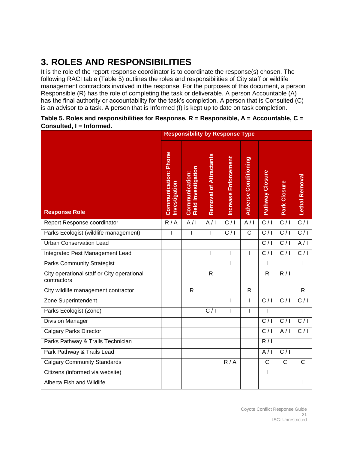### <span id="page-20-0"></span>**3. ROLES AND RESPONSIBILITIES**

It is the role of the report response coordinator is to coordinate the response(s) chosen. The following RACI table (Table 5) outlines the roles and responsibilities of City staff or wildlife management contractors involved in the response. For the purposes of this document, a person Responsible (R) has the role of completing the task or deliverable. A person Accountable (A) has the final authority or accountability for the task's completion. A person that is Consulted (C) is an advisor to a task. A person that is Informed (I) is kept up to date on task completion.

|                                                           |                                              | <b>Responsibility by Response Type</b>                |                               |                      |                             |                       |                  |                  |
|-----------------------------------------------------------|----------------------------------------------|-------------------------------------------------------|-------------------------------|----------------------|-----------------------------|-----------------------|------------------|------------------|
| <b>Response Role</b>                                      | <b>Communication: Phone</b><br>Investigation | Investigation<br>Communication:<br>Field Investigatic | <b>Removal of Attractants</b> | Increase Enforcement | <b>Adverse Conditioning</b> | Pathway Closure       | Park Closure     | Lethal Removal   |
| Report Response coordinator                               | R/A                                          | A/I                                                   | A/I                           | $\overline{C/I}$     | A/I                         | C/1                   | C/1              | C/I              |
| Parks Ecologist (wildlife management)                     | ı                                            | $\overline{1}$                                        |                               | C/1                  | $\overline{\text{c}}$       | C/1                   | C/1              | C/I              |
| <b>Urban Conservation Lead</b>                            |                                              |                                                       |                               |                      |                             | $\overline{C/I}$      | C/1              | A/I              |
| Integrated Pest Management Lead                           |                                              |                                                       | I                             | $\overline{1}$       | $\mathbf{I}$                | C/1                   | C/1              | C/I              |
| <b>Parks Community Strategist</b>                         |                                              |                                                       |                               | $\overline{1}$       |                             | I                     | $\overline{1}$   | $\overline{1}$   |
| City operational staff or City operational<br>contractors |                                              |                                                       | $\overline{R}$                |                      |                             | $\overline{R}$        | R/1              |                  |
| City wildlife management contractor                       |                                              | $\overline{R}$                                        |                               |                      | $\overline{R}$              |                       |                  | $\overline{R}$   |
| Zone Superintendent                                       |                                              |                                                       |                               | T                    | $\mathbf{I}$                | $\overline{C/I}$      | $\overline{C/I}$ | $\overline{C/I}$ |
| Parks Ecologist (Zone)                                    |                                              |                                                       | C/1                           | $\overline{1}$       | $\overline{1}$              |                       |                  |                  |
| <b>Division Manager</b>                                   |                                              |                                                       |                               |                      |                             | $\overline{C/I}$      | C/1              | C/I              |
| <b>Calgary Parks Director</b>                             |                                              |                                                       |                               |                      |                             | C/1                   | A/I              | C/I              |
| Parks Pathway & Trails Technician                         |                                              |                                                       |                               |                      |                             | R/1                   |                  |                  |
| Park Pathway & Trails Lead                                |                                              |                                                       |                               |                      |                             | A/I                   | $\overline{C/I}$ |                  |
| <b>Calgary Community Standards</b>                        |                                              |                                                       |                               | R/A                  |                             | $\overline{\text{c}}$ | $\overline{C}$   | $\overline{C}$   |
| Citizens (informed via website)                           |                                              |                                                       |                               |                      |                             | L                     | I                |                  |
| Alberta Fish and Wildlife                                 |                                              |                                                       |                               |                      |                             |                       |                  |                  |

### **Table 5. Roles and responsibilities for Response. R = Responsible, A = Accountable, C = Consulted, I = Informed.**

Coyote Conflict Response Guide 21 ISC: Unrestricted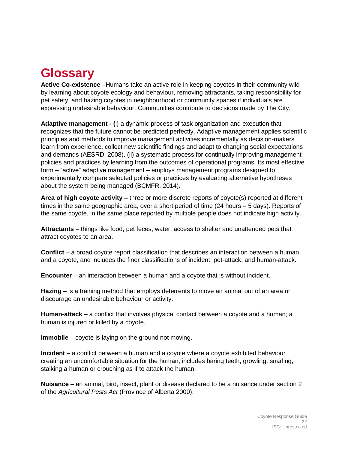# <span id="page-21-0"></span>**Glossary**

**Active Co-existence** –Humans take an active role in keeping coyotes in their community wild by learning about coyote ecology and behaviour, removing attractants, taking responsibility for pet safety, and hazing coyotes in neighbourhood or community spaces if individuals are expressing undesirable behaviour. Communities contribute to decisions made by The City.

**Adaptive management - (**i) a dynamic process of task organization and execution that recognizes that the future cannot be predicted perfectly. Adaptive management applies scientific principles and methods to improve management activities incrementally as decision-makers learn from experience, collect new scientific findings and adapt to changing social expectations and demands (AESRD, 2008). (ii) a systematic process for continually improving management policies and practices by learning from the outcomes of operational programs. Its most effective form – "active" adaptive management – employs management programs designed to experimentally compare selected policies or practices by evaluating alternative hypotheses about the system being managed (BCMFR, 2014).

**Area of high coyote activity –** three or more discrete reports of coyote(s) reported at different times in the same geographic area, over a short period of time (24 hours – 5 days). Reports of the same coyote, in the same place reported by multiple people does not indicate high activity.

**Attractants** – things like food, pet feces, water, access to shelter and unattended pets that attract coyotes to an area.

**Conflict** – a broad coyote report classification that describes an interaction between a human and a coyote, and includes the finer classifications of incident, pet-attack, and human-attack.

**Encounter** – an interaction between a human and a coyote that is without incident.

**Hazing** – is a training method that employs deterrents to move an animal out of an area or discourage an undesirable behaviour or activity.

**Human-attack** – a conflict that involves physical contact between a coyote and a human; a human is injured or killed by a coyote.

**Immobile** – coyote is laying on the ground not moving.

**Incident** – a conflict between a human and a coyote where a coyote exhibited behaviour creating an uncomfortable situation for the human; includes baring teeth, growling, snarling, stalking a human or crouching as if to attack the human.

**Nuisance** – an animal, bird, insect, plant or disease declared to be a nuisance under section 2 of the *Agricultural Pests Act* (Province of Alberta 2000).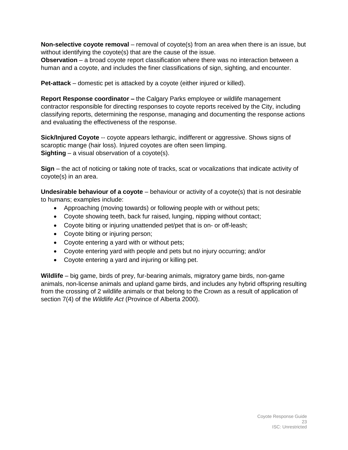**Non-selective coyote removal** – removal of coyote(s) from an area when there is an issue, but without identifying the coyote(s) that are the cause of the issue.

**Observation** – a broad coyote report classification where there was no interaction between a human and a coyote, and includes the finer classifications of sign, sighting, and encounter.

**Pet-attack** – domestic pet is attacked by a coyote (either injured or killed).

**Report Response coordinator –** the Calgary Parks employee or wildlife management contractor responsible for directing responses to coyote reports received by the City, including classifying reports, determining the response, managing and documenting the response actions and evaluating the effectiveness of the response.

**Sick/Injured Coyote** -- coyote appears lethargic, indifferent or aggressive. Shows signs of scaroptic mange (hair loss). Injured coyotes are often seen limping. **Sighting** – a visual observation of a coyote(s).

**Sign** – the act of noticing or taking note of tracks, scat or vocalizations that indicate activity of coyote(s) in an area.

**Undesirable behaviour of a coyote** – behaviour or activity of a coyote(s) that is not desirable to humans; examples include:

- Approaching (moving towards) or following people with or without pets;
- Coyote showing teeth, back fur raised, lunging, nipping without contact;
- Coyote biting or injuring unattended pet/pet that is on- or off-leash;
- Coyote biting or injuring person;
- Coyote entering a yard with or without pets;
- Coyote entering yard with people and pets but no injury occurring; and/or
- Coyote entering a yard and injuring or killing pet.

**Wildlife** – big game, birds of prey, fur-bearing animals, migratory game birds, non-game animals, non-license animals and upland game birds, and includes any hybrid offspring resulting from the crossing of 2 wildlife animals or that belong to the Crown as a result of application of section 7(4) of the *Wildlife Act* (Province of Alberta 2000).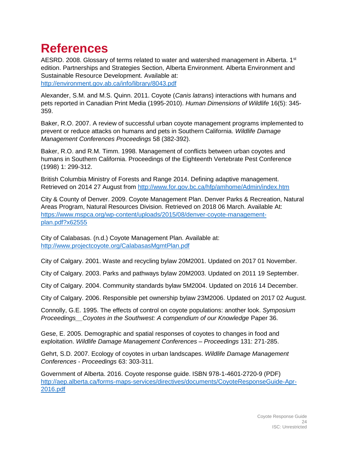### <span id="page-23-0"></span>**References**

AESRD. 2008. Glossary of terms related to water and watershed management in Alberta.  $1<sup>st</sup>$ edition. Partnerships and Strategies Section, Alberta Environment. Alberta Environment and Sustainable Resource Development. Available at: <http://environment.gov.ab.ca/info/library/8043.pdf>

Alexander, S.M. and M.S. Quinn. 2011. Coyote (*Canis latrans*) interactions with humans and pets reported in Canadian Print Media (1995-2010). *Human Dimensions of Wildlife* 16(5): 345- 359.

Baker, R.O. 2007. A review of successful urban coyote management programs implemented to prevent or reduce attacks on humans and pets in Southern California. *Wildlife Damage Management Conferences Proceedings* 58 (382-392).

Baker, R.O. and R.M. Timm. 1998. Management of conflicts between urban coyotes and humans in Southern California. Proceedings of the Eighteenth Vertebrate Pest Conference (1998) 1: 299-312.

British Columbia Ministry of Forests and Range 2014. Defining adaptive management. Retrieved on 2014 27 August from<http://www.for.gov.bc.ca/hfp/amhome/Admin/index.htm>

City & County of Denver. 2009. Coyote Management Plan. Denver Parks & Recreation, Natural Areas Program, Natural Resources Division. Retrieved on 2018 06 March. Available At: [https://www.mspca.org/wp-content/uploads/2015/08/denver-coyote-management](https://www.mspca.org/wp-content/uploads/2015/08/denver-coyote-management-plan.pdf?x62555)[plan.pdf?x62555](https://www.mspca.org/wp-content/uploads/2015/08/denver-coyote-management-plan.pdf?x62555)

City of Calabasas. (n.d.) Coyote Management Plan. Available at: <http://www.projectcoyote.org/CalabasasMgmtPlan.pdf>

City of Calgary. 2001. Waste and recycling bylaw 20M2001. Updated on 2017 01 November.

City of Calgary. 2003. Parks and pathways bylaw 20M2003. Updated on 2011 19 September.

City of Calgary. 2004. Community standards bylaw 5M2004. Updated on 2016 14 December.

City of Calgary. 2006. Responsible pet ownership bylaw 23M2006. Updated on 2017 02 August.

Connolly, G.E. 1995. The effects of control on coyote populations: another look. *Symposium Proceedings\_\_Coyotes in the Southwest: A compendium of our Knowledge* Paper 36.

Gese, E. 2005. Demographic and spatial responses of coyotes to changes in food and exploitation. *Wildlife Damage Management Conferences – Proceedings* 131: 271-285.

Gehrt, S.D. 2007. Ecology of coyotes in urban landscapes. *Wildlife Damage Management Conferences - Proceedings* 63: 303-311.

Government of Alberta. 2016. Coyote response guide. ISBN 978-1-4601-2720-9 (PDF) [http://aep.alberta.ca/forms-maps-services/directives/documents/CoyoteResponseGuide-Apr-](http://aep.alberta.ca/forms-maps-services/directives/documents/CoyoteResponseGuide-Apr-2016.pdf)[2016.pdf](http://aep.alberta.ca/forms-maps-services/directives/documents/CoyoteResponseGuide-Apr-2016.pdf)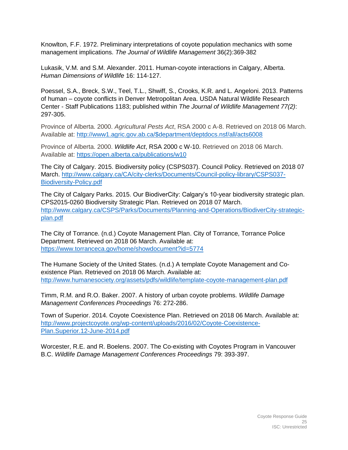Knowlton, F.F. 1972. Preliminary interpretations of coyote population mechanics with some management implications. *The Journal of Wildlife Management* 36(2):369-382

Lukasik, V.M. and S.M. Alexander. 2011. Human-coyote interactions in Calgary, Alberta. *Human Dimensions of Wildlife* 16: 114-127.

Poessel, S.A., Breck, S.W., Teel, T.L., Shwiff, S., Crooks, K.R. and L. Angeloni. 2013. Patterns of human – coyote conflicts in Denver Metropolitan Area. USDA Natural Wildlife Research Center - Staff Publications 1183; published within *The Journal of Wildlife Management 77(2)*: 297-305.

Province of Alberta. 2000. *Agricultural Pests Act*, RSA 2000 c A-8. Retrieved on 2018 06 March. Available at: [http://www1.agric.gov.ab.ca/\\$department/deptdocs.nsf/all/acts6008](http://www1.agric.gov.ab.ca/$department/deptdocs.nsf/all/acts6008)

Province of Alberta. 2000. *Wildlife Act*, RSA 2000 c W-10. Retrieved on 2018 06 March. Available at:<https://open.alberta.ca/publications/w10>

The City of Calgary. 2015. Biodiversity policy (CSPS037). Council Policy. Retrieved on 2018 07 March. [http://www.calgary.ca/CA/city-clerks/Documents/Council-policy-library/CSPS037-](http://www.calgary.ca/CA/city-clerks/Documents/Council-policy-library/CSPS037-Biodiversity-Policy.pdf) [Biodiversity-Policy.pdf](http://www.calgary.ca/CA/city-clerks/Documents/Council-policy-library/CSPS037-Biodiversity-Policy.pdf)

The City of Calgary Parks. 2015. Our BiodiverCity: Calgary's 10-year biodiversity strategic plan. CPS2015-0260 Biodiversity Strategic Plan. Retrieved on 2018 07 March. [http://www.calgary.ca/CSPS/Parks/Documents/Planning-and-Operations/BiodiverCity-strategic](http://www.calgary.ca/CSPS/Parks/Documents/Planning-and-Operations/BiodiverCity-strategic-plan.pdf)[plan.pdf](http://www.calgary.ca/CSPS/Parks/Documents/Planning-and-Operations/BiodiverCity-strategic-plan.pdf)

The City of Torrance. (n.d.) Coyote Management Plan. City of Torrance, Torrance Police Department. Retrieved on 2018 06 March. Available at: <https://www.torranceca.gov/home/showdocument?id=5774>

The Humane Society of the United States. (n.d.) A template Coyote Management and Coexistence Plan. Retrieved on 2018 06 March. Available at: <http://www.humanesociety.org/assets/pdfs/wildlife/template-coyote-management-plan.pdf>

Timm, R.M. and R.O. Baker. 2007. A history of urban coyote problems. *Wildlife Damage Management Conferences Proceedings* 76: 272-286.

Town of Superior. 2014. Coyote Coexistence Plan. Retrieved on 2018 06 March. Available at: [http://www.projectcoyote.org/wp-content/uploads/2016/02/Coyote-Coexistence-](http://www.projectcoyote.org/wp-content/uploads/2016/02/Coyote-Coexistence-Plan.Superior.12-June-2014.pdf)[Plan.Superior.12-June-2014.pdf](http://www.projectcoyote.org/wp-content/uploads/2016/02/Coyote-Coexistence-Plan.Superior.12-June-2014.pdf)

Worcester, R.E. and R. Boelens. 2007. The Co-existing with Coyotes Program in Vancouver B.C. *Wildlife Damage Management Conferences Proceedings* 79: 393-397.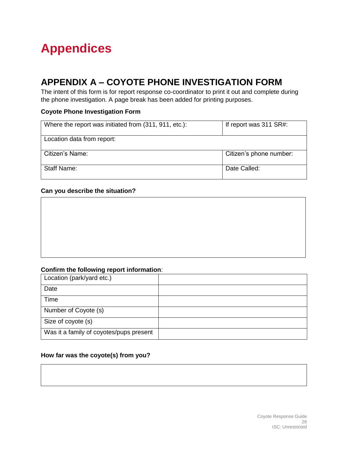# <span id="page-25-1"></span><span id="page-25-0"></span>**Appendices**

### **APPENDIX A – COYOTE PHONE INVESTIGATION FORM**

The intent of this form is for report response co-coordinator to print it out and complete during the phone investigation. A page break has been added for printing purposes.

### **Coyote Phone Investigation Form**

| Where the report was initiated from (311, 911, etc.): | If report was 311 SR#:  |  |  |
|-------------------------------------------------------|-------------------------|--|--|
| Location data from report:                            |                         |  |  |
| Citizen's Name:                                       | Citizen's phone number: |  |  |
| <b>Staff Name:</b>                                    | Date Called:            |  |  |

### **Can you describe the situation?**

### **Confirm the following report information**:

| Location (park/yard etc.)               |  |
|-----------------------------------------|--|
| Date                                    |  |
| Time                                    |  |
| Number of Coyote (s)                    |  |
| Size of coyote (s)                      |  |
| Was it a family of coyotes/pups present |  |

### **How far was the coyote(s) from you?**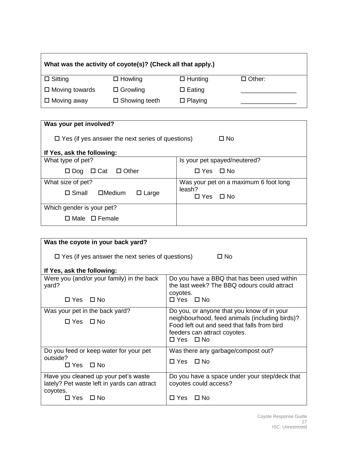| What was the activity of coyote(s)? (Check all that apply.) |                      |                |               |  |
|-------------------------------------------------------------|----------------------|----------------|---------------|--|
| $\Box$ Sitting                                              | $\Box$ Howling       | $\Box$ Hunting | $\Box$ Other: |  |
| $\Box$ Moving towards                                       | $\Box$ Growling      | $\Box$ Eating  |               |  |
| $\Box$ Moving away                                          | $\Box$ Showing teeth | $\Box$ Playing |               |  |

| Was your pet involved?                                               |                                       |  |  |
|----------------------------------------------------------------------|---------------------------------------|--|--|
| $\Box$ Yes (if yes answer the next series of questions)<br>$\Box$ No |                                       |  |  |
| If Yes, ask the following:                                           |                                       |  |  |
| What type of pet?                                                    | Is your pet spayed/neutered?          |  |  |
| $\Box$ Dog $\Box$ Cat $\Box$ Other                                   | $\Box$ Yes $\Box$ No                  |  |  |
| What size of pet?                                                    | Was your pet on a maximum 6 foot long |  |  |
| $\Box$ Small<br>$\square$ Medium<br>$\Box$ Large                     | leash?<br>$\Box$ Yes $\Box$ No        |  |  |
| Which gender is your pet?                                            |                                       |  |  |
| $\Box$ Male $\Box$ Female                                            |                                       |  |  |

| Was the coyote in your back yard?                                                               |                                                                                                                                                       |  |  |
|-------------------------------------------------------------------------------------------------|-------------------------------------------------------------------------------------------------------------------------------------------------------|--|--|
| $\Box$ Yes (if yes answer the next series of questions)<br>□ No                                 |                                                                                                                                                       |  |  |
| If Yes, ask the following:                                                                      |                                                                                                                                                       |  |  |
| Were you (and/or your family) in the back<br>yard?                                              | Do you have a BBQ that has been used within<br>the last week? The BBQ odours could attract<br>coyotes.                                                |  |  |
| $\Box$ Yes $\Box$ No                                                                            | $\Box$ Yes $\Box$ No                                                                                                                                  |  |  |
| Was your pet in the back yard?                                                                  | Do you, or anyone that you know of in your                                                                                                            |  |  |
| $\Box$ Yes $\Box$ No                                                                            | neighbourhood, feed animals (including birds)?<br>Food left out and seed that falls from bird<br>feeders can attract coyotes.<br>$\Box$ Yes $\Box$ No |  |  |
| Do you feed or keep water for your pet                                                          | Was there any garbage/compost out?                                                                                                                    |  |  |
| outside?<br>$\Box$ Yes $\Box$ No                                                                | $\Box$ Yes $\Box$ No                                                                                                                                  |  |  |
| Have you cleaned up your pet's waste<br>lately? Pet waste left in yards can attract<br>coyotes. | Do you have a space under your step/deck that<br>coyotes could access?                                                                                |  |  |
| ⊡ No<br>□ Yes _                                                                                 | $\Box$ Yes<br>⊟ No                                                                                                                                    |  |  |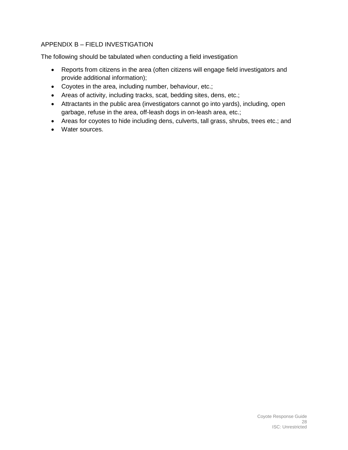### <span id="page-27-0"></span>APPENDIX B – FIELD INVESTIGATION

The following should be tabulated when conducting a field investigation

- Reports from citizens in the area (often citizens will engage field investigators and provide additional information);
- Coyotes in the area, including number, behaviour, etc.;
- Areas of activity, including tracks, scat, bedding sites, dens, etc.;
- Attractants in the public area (investigators cannot go into yards), including, open garbage, refuse in the area, off-leash dogs in on-leash area, etc.;
- Areas for coyotes to hide including dens, culverts, tall grass, shrubs, trees etc.; and
- Water sources.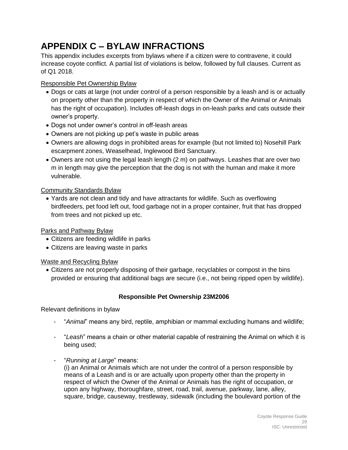### <span id="page-28-0"></span>**APPENDIX C – BYLAW INFRACTIONS**

This appendix includes excerpts from bylaws where if a citizen were to contravene, it could increase coyote conflict. A partial list of violations is below, followed by full clauses. Current as of Q1 2018.

### Responsible Pet Ownership Bylaw

- Dogs or cats at large (not under control of a person responsible by a leash and is or actually on property other than the property in respect of which the Owner of the Animal or Animals has the right of occupation). Includes off-leash dogs in on-leash parks and cats outside their owner's property.
- Dogs not under owner's control in off-leash areas
- Owners are not picking up pet's waste in public areas
- Owners are allowing dogs in prohibited areas for example (but not limited to) Nosehill Park escarpment zones, Weaselhead, Inglewood Bird Sanctuary.
- Owners are not using the legal leash length (2 m) on pathways. Leashes that are over two m in length may give the perception that the dog is not with the human and make it more vulnerable.

### Community Standards Bylaw

 Yards are not clean and tidy and have attractants for wildlife. Such as overflowing birdfeeders, pet food left out, food garbage not in a proper container, fruit that has dropped from trees and not picked up etc.

### Parks and Pathway Bylaw

- Citizens are feeding wildlife in parks
- Citizens are leaving waste in parks

Waste and Recycling Bylaw

 Citizens are not properly disposing of their garbage, recyclables or compost in the bins provided or ensuring that additional bags are secure (i.e., not being ripped open by wildlife).

### **Responsible Pet Ownership 23M2006**

Relevant definitions in bylaw

- "*Animal*" means any bird, reptile, amphibian or mammal excluding humans and wildlife;
- "*Leash*" means a chain or other material capable of restraining the Animal on which it is being used;
- "*Running at Large*" means:

(i) an Animal or Animals which are not under the control of a person responsible by means of a Leash and is or are actually upon property other than the property in respect of which the Owner of the Animal or Animals has the right of occupation, or upon any highway, thoroughfare, street, road, trail, avenue, parkway, lane, alley, square, bridge, causeway, trestleway, sidewalk (including the boulevard portion of the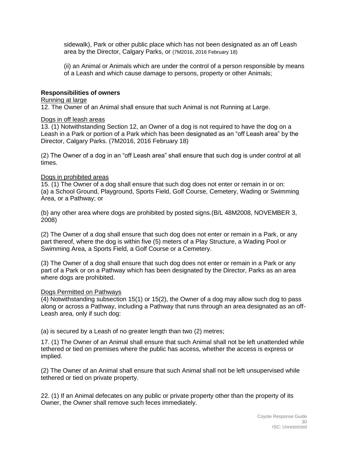sidewalk), Park or other public place which has not been designated as an off Leash area by the Director, Calgary Parks, or (7M2016, 2016 February 18)

(ii) an Animal or Animals which are under the control of a person responsible by means of a Leash and which cause damage to persons, property or other Animals;

#### **Responsibilities of owners**

#### Running at large

12. The Owner of an Animal shall ensure that such Animal is not Running at Large.

#### Dogs in off leash areas

13. (1) Notwithstanding Section 12, an Owner of a dog is not required to have the dog on a Leash in a Park or portion of a Park which has been designated as an "off Leash area" by the Director, Calgary Parks. (7M2016, 2016 February 18)

(2) The Owner of a dog in an "off Leash area" shall ensure that such dog is under control at all times.

#### Dogs in prohibited areas

15. (1) The Owner of a dog shall ensure that such dog does not enter or remain in or on: (a) a School Ground, Playground, Sports Field, Golf Course, Cemetery, Wading or Swimming Area, or a Pathway; or

(b) any other area where dogs are prohibited by posted signs.(B/L 48M2008, NOVEMBER 3, 2008)

(2) The Owner of a dog shall ensure that such dog does not enter or remain in a Park, or any part thereof, where the dog is within five (5) meters of a Play Structure, a Wading Pool or Swimming Area, a Sports Field, a Golf Course or a Cemetery.

(3) The Owner of a dog shall ensure that such dog does not enter or remain in a Park or any part of a Park or on a Pathway which has been designated by the Director, Parks as an area where dogs are prohibited.

#### Dogs Permitted on Pathways

(4) Notwithstanding subsection 15(1) or 15(2), the Owner of a dog may allow such dog to pass along or across a Pathway, including a Pathway that runs through an area designated as an off-Leash area, only if such dog:

(a) is secured by a Leash of no greater length than two (2) metres;

17. (1) The Owner of an Animal shall ensure that such Animal shall not be left unattended while tethered or tied on premises where the public has access, whether the access is express or implied.

(2) The Owner of an Animal shall ensure that such Animal shall not be left unsupervised while tethered or tied on private property.

22. (1) If an Animal defecates on any public or private property other than the property of its Owner, the Owner shall remove such feces immediately.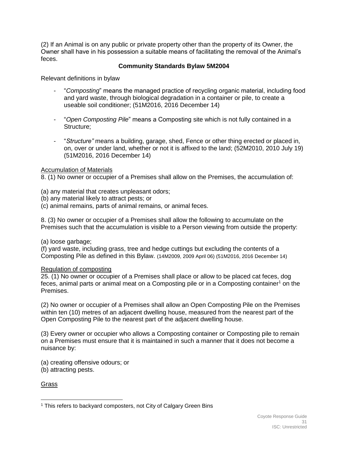(2) If an Animal is on any public or private property other than the property of its Owner, the Owner shall have in his possession a suitable means of facilitating the removal of the Animal's feces.

### **Community Standards Bylaw 5M2004**

Relevant definitions in bylaw

- "*Composting*" means the managed practice of recycling organic material, including food and yard waste, through biological degradation in a container or pile, to create a useable soil conditioner; (51M2016, 2016 December 14)
- "*Open Composting Pile*" means a Composting site which is not fully contained in a Structure:
- "*Structure"* means a building, garage, shed, Fence or other thing erected or placed in, on, over or under land, whether or not it is affixed to the land; (52M2010, 2010 July 19) (51M2016, 2016 December 14)

#### Accumulation of Materials

8. (1) No owner or occupier of a Premises shall allow on the Premises, the accumulation of:

- (a) any material that creates unpleasant odors;
- (b) any material likely to attract pests; or
- (c) animal remains, parts of animal remains, or animal feces.

8. (3) No owner or occupier of a Premises shall allow the following to accumulate on the Premises such that the accumulation is visible to a Person viewing from outside the property:

#### (a) loose garbage;

(f) yard waste, including grass, tree and hedge cuttings but excluding the contents of a Composting Pile as defined in this Bylaw. (14M2009, 2009 April 06) (51M2016, 2016 December 14)

#### Regulation of composting

25. (1) No owner or occupier of a Premises shall place or allow to be placed cat feces, dog feces, animal parts or animal meat on a Composting pile or in a Composting container<sup>1</sup> on the Premises.

(2) No owner or occupier of a Premises shall allow an Open Composting Pile on the Premises within ten (10) metres of an adjacent dwelling house, measured from the nearest part of the Open Composting Pile to the nearest part of the adjacent dwelling house.

(3) Every owner or occupier who allows a Composting container or Composting pile to remain on a Premises must ensure that it is maintained in such a manner that it does not become a nuisance by:

(a) creating offensive odours; or

(b) attracting pests.

Grass

 <sup>1</sup> This refers to backyard composters, not City of Calgary Green Bins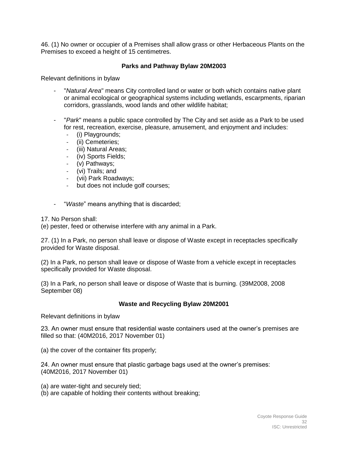46. (1) No owner or occupier of a Premises shall allow grass or other Herbaceous Plants on the Premises to exceed a height of 15 centimetres.

### **Parks and Pathway Bylaw 20M2003**

Relevant definitions in bylaw

- "*Natural Area*" means City controlled land or water or both which contains native plant or animal ecological or geographical systems including wetlands, escarpments, riparian corridors, grasslands, wood lands and other wildlife habitat;
- "*Park*" means a public space controlled by The City and set aside as a Park to be used for rest, recreation, exercise, pleasure, amusement, and enjoyment and includes:
	- (i) Playgrounds;<br>- (ii) Cemeteries:
	- (ii) Cemeteries;
	- (iii) Natural Areas;
	- (iv) Sports Fields;
	- (v) Pathways;
	- (vi) Trails; and
	- (vii) Park Roadways;
	- but does not include golf courses;
- "*Waste*" means anything that is discarded;

17. No Person shall:

(e) pester, feed or otherwise interfere with any animal in a Park.

27. (1) In a Park, no person shall leave or dispose of Waste except in receptacles specifically provided for Waste disposal.

(2) In a Park, no person shall leave or dispose of Waste from a vehicle except in receptacles specifically provided for Waste disposal.

(3) In a Park, no person shall leave or dispose of Waste that is burning. (39M2008, 2008 September 08)

#### **Waste and Recycling Bylaw 20M2001**

Relevant definitions in bylaw

23. An owner must ensure that residential waste containers used at the owner's premises are filled so that: (40M2016, 2017 November 01)

(a) the cover of the container fits properly;

24. An owner must ensure that plastic garbage bags used at the owner's premises: (40M2016, 2017 November 01)

(a) are water-tight and securely tied;

(b) are capable of holding their contents without breaking;